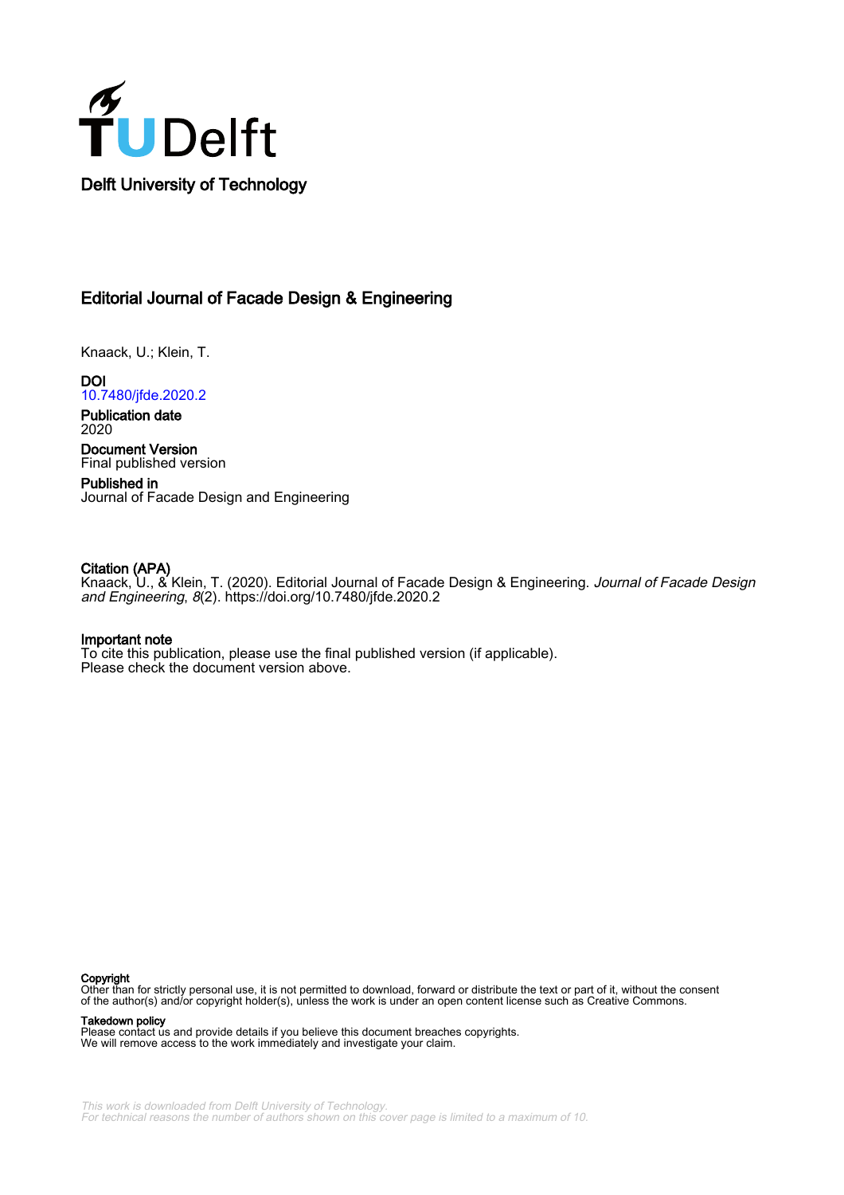

## Editorial Journal of Facade Design & Engineering

Knaack, U.; Klein, T.

**DOI** [10.7480/jfde.2020.2](https://doi.org/10.7480/jfde.2020.2)

Publication date 2020

Document Version Final published version

Published in Journal of Facade Design and Engineering

### Citation (APA)

Knaack, U., & Klein, T. (2020). Editorial Journal of Facade Design & Engineering. *Journal of Facade Design* and Engineering, 8(2). <https://doi.org/10.7480/jfde.2020.2>

#### Important note

To cite this publication, please use the final published version (if applicable). Please check the document version above.

#### Copyright

Other than for strictly personal use, it is not permitted to download, forward or distribute the text or part of it, without the consent of the author(s) and/or copyright holder(s), unless the work is under an open content license such as Creative Commons.

Takedown policy

Please contact us and provide details if you believe this document breaches copyrights. We will remove access to the work immediately and investigate your claim.